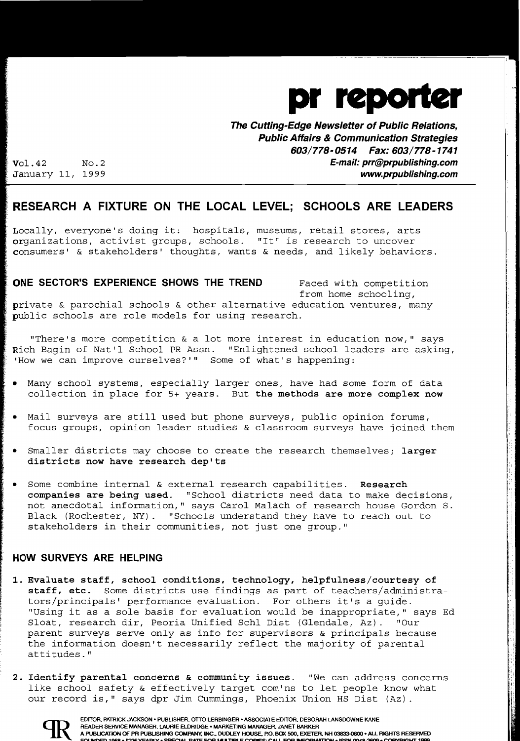

**The Cutting-Edge Newsletter of Public Relations, Public Affairs & Communication Strategies 603/778-0514 Fax: 603/778-1741**  Vol.42 NO.2 **E-mail: prr@prpublishing.com** 

January 11, 1999 **www.prpublishing.com** 

## **RESEARCH A FIXTURE ON THE LOCAL LEVEL; SCHOOLS ARE LEADERS**

Locally, everyone's doing it: hospitals, museums, retail stores, arts organizations, activist groups, schools. "It" is research to uncover consumers' & stakeholders' thoughts, wants & needs, and likely behaviors.

#### **ONE SECTOR'S EXPERIENCE SHOWS THE TREND** Faced with competition

from home schooling,

I.

private & parochial schools & other alternative education ventures, many public schools are role models for using research.

"There's more competition & a lot more interest in education now," says Rich Bagin of Nat'l School PR Assn. "Enlightened school leaders are asking, 'How we can improve ourselves?'" Some of what's happening:

- Many school systems, especially larger ones, have had some form of data collection in place for 5+ years. But the methods are more complex now
- Mail surveys are still used but phone surveys, public opinion forums, focus groups, opinion leader studies & classroom surveys have joined them
- Smaller districts may choose to create the research themselves; larger districts now have research dep'ts
- Some combine internal  $\&$  external research capabilities. Research companies are being used. "School districts need data to make decisions, not anecdotal information," says Carol Malach of research house Gordon S. Black (Rochester, NY). "Schools understand they have to reach out to stakeholders in their communities, not just one group."

### **HOW SURVEYS ARE HELPING**

- 1. Evaluate staff, school conditions, technology, helpfulness/courtesy of staff, etc. Some districts use findings as part of teachers/administrators/principals' performance evaluation. For others it's a guide. "Using it as a sole basis for evaluation would be inappropriate," says Ed Sloat, research dir, Peoria Unified Schl Dist (Glendale, Az). "Our parent surveys serve only as info for supervisors & principals because the information doesn't necessarily reflect the majority of parental attitudes."
- 2. Identify parental concerns & community issues. "We can address concerns like school safety & effectively target com'ns to let people know what our record is," says dpr Jim Cummings, Phoenix Union HS Dist (Az).



EDITOR, PATRICK JACKSON • PUBLISHER, OTTO LERBINGER • ASSOCIATE EDITOR, DEBORAH LANSDOWNE KANE<br>READER SERVICE MANAGER, LAURIE ELDRIDGE • MARKETING MANAGER, JANET BARKER<br>A PUBLICATION OF PRIPUBLISHING COMPANY, INC., DUDLEY READER SERVICE MANAGER. lAURIE ElDRIDGE· MARKETING MANAGER. JANET BARKER READER SERVICE MANAGER, LAURIE ELDRIDGE • MARKETING MANAGER, JANET BARKER<br>A PUBLICATION OF PR PUBLISHING COMPANY, INC., DUDLEY HOUSE, P.O. BOX 500, EXETER, NH 03833-0600 • ALL RIGHTS RESERVED<br>FOI INDER 1958 • 52% YEARIY •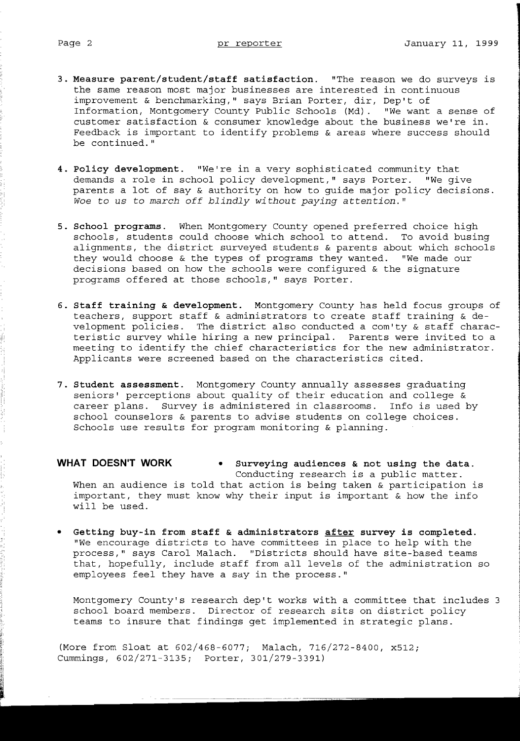- **3. Measure parent/student/staff satisfaction.** "The reason we do surveys is the same reason most major businesses are interested in continuous improvement & benchmarking," says Brian Porter, dir, Dep't of Information, Montgomery County Public Schools (Md). "We want a sense of customer satisfaction & consumer knowledge about the business we're in. Feedback is important to identify problems & areas where success should be continued."
- **4. Policy development.** "We're in a very sophisticated community that demands a role in school policy development," says Porter. "We give parents a lot of say & authority on how to guide major policy decisions. Woe to us to march off blindly without paying attention."
- **5. School programs.** When Montgomery County opened preferred choice high schools, students could choose which school to attend. To avoid busing alignments, the district surveyed students & parents about which schools they would choose & the types of programs they wanted. "We made our decisions based on how the schools were configured & the signature programs offered at those schools," says Porter.
- **6. Staff training & development.** Montgomery County has held focus groups of teachers, support staff & administrators to create staff training & development policies. The district also conducted a com'ty & staff characteristic survey while hiring a new principal. Parents were invited to a meeting to identify the chief characteristics for the new administrator. Applicants were screened based on the characteristics cited.
- **7. Student assessment.** Montgomery County annually assesses graduating seniors' perceptions about quality of their education and college & career plans. Survey is administered in classrooms. Info is used by school counselors & parents to advise students on college choices. Schools use results for program monitoring & planning.

# **WHAT DOESN'T WORK • Surveying audiences & not using the data.**

Conducting research is a public matter. When an audience is told that action is being taken & participation is important, they must know why their input is important & how the info will be used.

Getting buy-in from staff & administrators after survey is completed. "We encourage districts to have committees in place to help with the process," says Carol Malach. "Districts should have site-based teams that, hopefully, include staff from all levels of the administration so employees feel they have a say in the process."

Montgomery County's research dep't works with a committee that includes 3 school board members. Director of research sits on district policy teams to insure that findings get implemented in strategic plans.

(More from Sloat at 602/468-6077; Malach, 716/272-8400, x512; Cummings, 602/271-3135; Porter, 301/279-3391)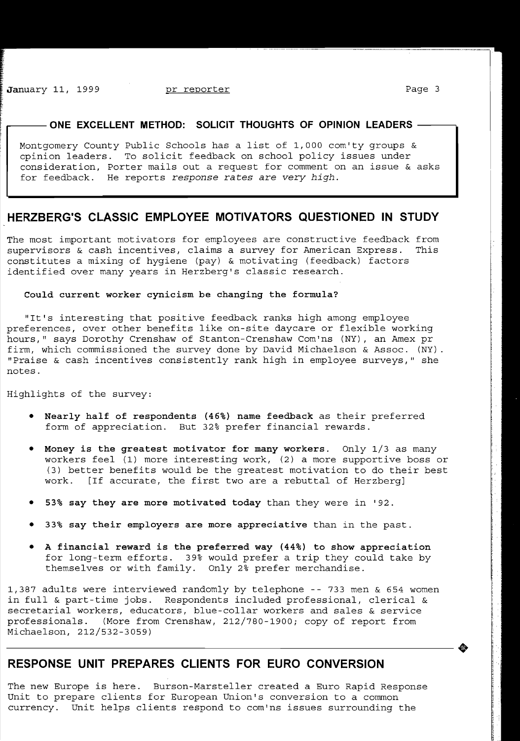f, I' t

### $-$  ONE EXCELLENT METHOD: SOLICIT THOUGHTS OF OPINION LEADERS  $\cdot$

Montgomery County Public Schools has a list of 1,000 com'ty groups & opinion leaders. To solicit feedback on school policy issues under consideration, Porter mails out a request for comment on an issue & asks for feedback. He reports *response* rates are *very high.* 

### **HERZBERG'S CLASSIC EMPLOYEE MOTIVATORS QUESTIONED IN STUDY**

The most important motivators for employees are constructive feedback from supervisors & cash incentives, claims a survey for American Express. This constitutes a mixing of hygiene (pay) & motivating (feedback) factors identified over many years in Herzberg's classic research.

#### **Could current worker cynicism be changing the formula?**

"It's interesting that positive feedback ranks high among employee preferences, over other benefits like on-site daycare or flexible working hours," says Dorothy Crenshaw of Stanton-Crenshaw Com'ns (NY), an Amex pr firm, which commissioned the survey done by David Michaelson & Assoc. (NY). "Praise & cash incentives consistently rank high in employee surveys," she notes.

Highlights of the survey:

- **• Nearly half of respondents (46%) name feedback** as their preferred form of appreciation. But 32% prefer financial rewards.
- **Money is the greatest motivator for many workers.** Only 1/3 as many workers feel (1) more interesting work, (2) a more supportive boss or (3) better benefits would be the greatest motivation to do their best work. [If accurate, the first two are a rebuttal of Herzberg]
- **• 53% say they are more motivated today** than they were in '92.
- **• 33% say their employers are more appreciative** than in the past.
- A financial reward is the preferred way (44%) to show appreciation for long-term efforts. 39% would prefer a trip they could take by themselves or with family. Only 2% prefer merchandise.

1,387 adults were interviewed randomly by telephone -- 733 men & 654 women in full & part-time jobs. Respondents included professional, clerical & secretarial workers, educators, blue-collar workers and sales & service professionals. (More from Crenshaw, 212/780-1900; copy of report from -----------------------+ Michaelson, 212/532-3059)

## **RESPONSE UNIT PREPARES CLIENTS FOR EURO CONVERSION**

The new Europe is here. Burson-Marsteller created a Euro Rapid Response Unit to prepare clients for European Union's conversion to a common currency. Unit helps clients respond to com'ns issues surrounding the